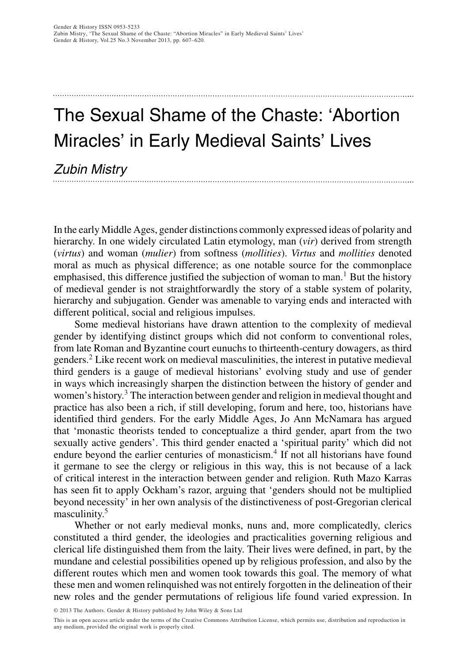# The Sexual Shame of the Chaste: 'Abortion Miracles' in Early Medieval Saints' Lives

# *Zubin Mistry*

In the early Middle Ages, gender distinctions commonly expressed ideas of polarity and hierarchy. In one widely circulated Latin etymology, man (*vir*) derived from strength (*virtus*) and woman (*mulier*) from softness (*mollities*). *Virtus* and *mollities* denoted moral as much as physical difference; as one notable source for the commonplace emphasised, this difference justified the subjection of woman to man.<sup>1</sup> But the history of medieval gender is not straightforwardly the story of a stable system of polarity, hierarchy and subjugation. Gender was amenable to varying ends and interacted with different political, social and religious impulses.

Some medieval historians have drawn attention to the complexity of medieval gender by identifying distinct groups which did not conform to conventional roles, from late Roman and Byzantine court eunuchs to thirteenth-century dowagers, as third genders.<sup>2</sup> Like recent work on medieval masculinities, the interest in putative medieval third genders is a gauge of medieval historians' evolving study and use of gender in ways which increasingly sharpen the distinction between the history of gender and women's history.<sup>3</sup> The interaction between gender and religion in medieval thought and practice has also been a rich, if still developing, forum and here, too, historians have identified third genders. For the early Middle Ages, Jo Ann McNamara has argued that 'monastic theorists tended to conceptualize a third gender, apart from the two sexually active genders'. This third gender enacted a 'spiritual parity' which did not endure beyond the earlier centuries of monasticism.<sup>4</sup> If not all historians have found it germane to see the clergy or religious in this way, this is not because of a lack of critical interest in the interaction between gender and religion. Ruth Mazo Karras has seen fit to apply Ockham's razor, arguing that 'genders should not be multiplied beyond necessity' in her own analysis of the distinctiveness of post-Gregorian clerical masculinity.5

Whether or not early medieval monks, nuns and, more complicatedly, clerics constituted a third gender, the ideologies and practicalities governing religious and clerical life distinguished them from the laity. Their lives were defined, in part, by the mundane and celestial possibilities opened up by religious profession, and also by the different routes which men and women took towards this goal. The memory of what these men and women relinquished was not entirely forgotten in the delineation of their new roles and the gender permutations of religious life found varied expression. In

© 2013 The Authors. Gender & History published by John Wiley & Sons Ltd

This is an open access article under the terms of the Creative Commons Attribution License, which permits use, distribution and reproduction in any medium, provided the original work is properly cited.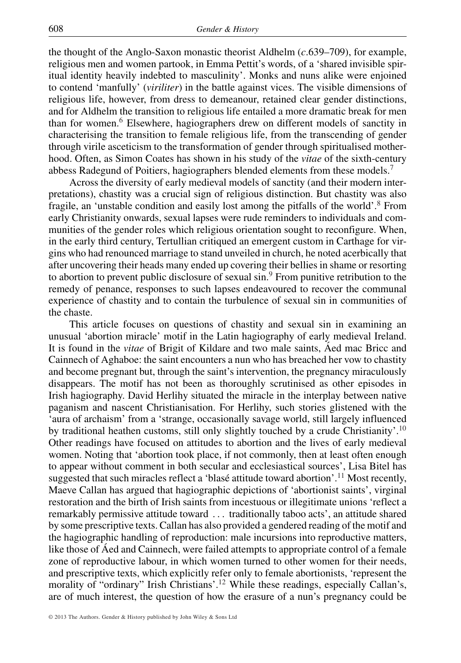the thought of the Anglo-Saxon monastic theorist Aldhelm (*c*.639–709), for example, religious men and women partook, in Emma Pettit's words, of a 'shared invisible spiritual identity heavily indebted to masculinity'. Monks and nuns alike were enjoined to contend 'manfully' (*viriliter*) in the battle against vices. The visible dimensions of religious life, however, from dress to demeanour, retained clear gender distinctions, and for Aldhelm the transition to religious life entailed a more dramatic break for men than for women.<sup>6</sup> Elsewhere, hagiographers drew on different models of sanctity in characterising the transition to female religious life, from the transcending of gender through virile asceticism to the transformation of gender through spiritualised motherhood. Often, as Simon Coates has shown in his study of the *vitae* of the sixth-century abbess Radegund of Poitiers, hagiographers blended elements from these models.7

Across the diversity of early medieval models of sanctity (and their modern interpretations), chastity was a crucial sign of religious distinction. But chastity was also fragile, an 'unstable condition and easily lost among the pitfalls of the world'.8 From early Christianity onwards, sexual lapses were rude reminders to individuals and communities of the gender roles which religious orientation sought to reconfigure. When, in the early third century, Tertullian critiqued an emergent custom in Carthage for virgins who had renounced marriage to stand unveiled in church, he noted acerbically that after uncovering their heads many ended up covering their bellies in shame or resorting to abortion to prevent public disclosure of sexual sin.<sup>9</sup> From punitive retribution to the remedy of penance, responses to such lapses endeavoured to recover the communal experience of chastity and to contain the turbulence of sexual sin in communities of the chaste.

This article focuses on questions of chastity and sexual sin in examining an unusual 'abortion miracle' motif in the Latin hagiography of early medieval Ireland. It is found in the *vitae* of Brigit of Kildare and two male saints, Aed mac Bricc and ´ Cainnech of Aghaboe: the saint encounters a nun who has breached her vow to chastity and become pregnant but, through the saint's intervention, the pregnancy miraculously disappears. The motif has not been as thoroughly scrutinised as other episodes in Irish hagiography. David Herlihy situated the miracle in the interplay between native paganism and nascent Christianisation. For Herlihy, such stories glistened with the 'aura of archaism' from a 'strange, occasionally savage world, still largely influenced by traditional heathen customs, still only slightly touched by a crude Christianity'.10 Other readings have focused on attitudes to abortion and the lives of early medieval women. Noting that 'abortion took place, if not commonly, then at least often enough to appear without comment in both secular and ecclesiastical sources', Lisa Bitel has suggested that such miracles reflect a 'blasé attitude toward abortion'.<sup>11</sup> Most recently, Maeve Callan has argued that hagiographic depictions of 'abortionist saints', virginal restoration and the birth of Irish saints from incestuous or illegitimate unions 'reflect a remarkably permissive attitude toward . . . traditionally taboo acts', an attitude shared by some prescriptive texts. Callan has also provided a gendered reading of the motif and the hagiographic handling of reproduction: male incursions into reproductive matters, like those of Aed and Cainnech, were failed attempts to appropriate control of a female zone of reproductive labour, in which women turned to other women for their needs, and prescriptive texts, which explicitly refer only to female abortionists, 'represent the morality of "ordinary" Irish Christians'.<sup>12</sup> While these readings, especially Callan's, are of much interest, the question of how the erasure of a nun's pregnancy could be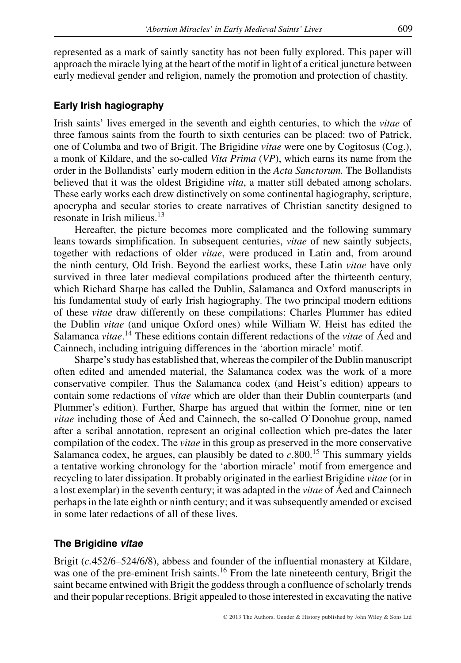represented as a mark of saintly sanctity has not been fully explored. This paper will approach the miracle lying at the heart of the motif in light of a critical juncture between early medieval gender and religion, namely the promotion and protection of chastity.

#### **Early Irish hagiography**

Irish saints' lives emerged in the seventh and eighth centuries, to which the *vitae* of three famous saints from the fourth to sixth centuries can be placed: two of Patrick, one of Columba and two of Brigit. The Brigidine *vitae* were one by Cogitosus (Cog.), a monk of Kildare, and the so-called *Vita Prima* (*VP*), which earns its name from the order in the Bollandists' early modern edition in the *Acta Sanctorum.* The Bollandists believed that it was the oldest Brigidine *vita*, a matter still debated among scholars. These early works each drew distinctively on some continental hagiography, scripture, apocrypha and secular stories to create narratives of Christian sanctity designed to resonate in Irish milieus.<sup>13</sup>

Hereafter, the picture becomes more complicated and the following summary leans towards simplification. In subsequent centuries, *vitae* of new saintly subjects, together with redactions of older *vitae*, were produced in Latin and, from around the ninth century, Old Irish. Beyond the earliest works, these Latin *vitae* have only survived in three later medieval compilations produced after the thirteenth century, which Richard Sharpe has called the Dublin, Salamanca and Oxford manuscripts in his fundamental study of early Irish hagiography. The two principal modern editions of these *vitae* draw differently on these compilations: Charles Plummer has edited the Dublin *vitae* (and unique Oxford ones) while William W. Heist has edited the Salamanca *vitae*.<sup>14</sup> These editions contain different redactions of the *vitae* of Áed and Cainnech, including intriguing differences in the 'abortion miracle' motif.

Sharpe's study has established that, whereas the compiler of the Dublin manuscript often edited and amended material, the Salamanca codex was the work of a more conservative compiler. Thus the Salamanca codex (and Heist's edition) appears to contain some redactions of *vitae* which are older than their Dublin counterparts (and Plummer's edition). Further, Sharpe has argued that within the former, nine or ten *vitae* including those of Áed and Cainnech, the so-called O'Donohue group, named after a scribal annotation, represent an original collection which pre-dates the later compilation of the codex. The *vitae* in this group as preserved in the more conservative Salamanca codex, he argues, can plausibly be dated to  $c.800$ .<sup>15</sup> This summary yields a tentative working chronology for the 'abortion miracle' motif from emergence and recycling to later dissipation. It probably originated in the earliest Brigidine *vitae* (or in a lost exemplar) in the seventh century; it was adapted in the *vitae* of Aed and Cainnech perhaps in the late eighth or ninth century; and it was subsequently amended or excised in some later redactions of all of these lives.

#### **The Brigidine** *vitae*

Brigit (*c.*452/6–524/6/8), abbess and founder of the influential monastery at Kildare, was one of the pre-eminent Irish saints.<sup>16</sup> From the late nineteenth century, Brigit the saint became entwined with Brigit the goddess through a confluence of scholarly trends and their popular receptions. Brigit appealed to those interested in excavating the native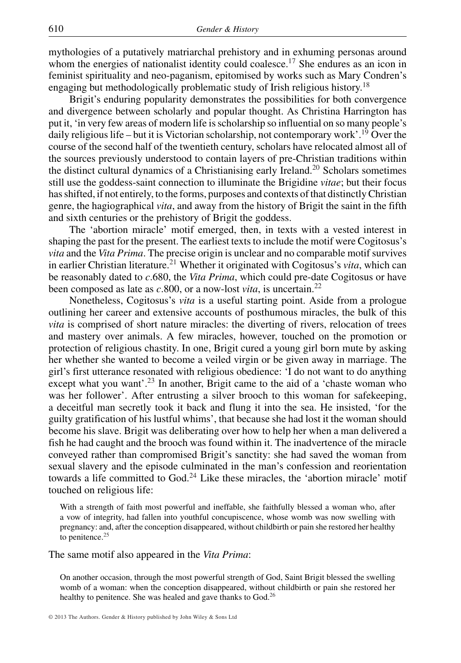mythologies of a putatively matriarchal prehistory and in exhuming personas around whom the energies of nationalist identity could coalesce.<sup>17</sup> She endures as an icon in feminist spirituality and neo-paganism, epitomised by works such as Mary Condren's engaging but methodologically problematic study of Irish religious history.<sup>18</sup>

Brigit's enduring popularity demonstrates the possibilities for both convergence and divergence between scholarly and popular thought. As Christina Harrington has put it, 'in very few areas of modern life is scholarship so influential on so many people's daily religious life – but it is Victorian scholarship, not contemporary work'.<sup>19</sup> Over the course of the second half of the twentieth century, scholars have relocated almost all of the sources previously understood to contain layers of pre-Christian traditions within the distinct cultural dynamics of a Christianising early Ireland.20 Scholars sometimes still use the goddess-saint connection to illuminate the Brigidine *vitae*; but their focus has shifted, if not entirely, to the forms, purposes and contexts of that distinctly Christian genre, the hagiographical *vita*, and away from the history of Brigit the saint in the fifth and sixth centuries or the prehistory of Brigit the goddess.

The 'abortion miracle' motif emerged, then, in texts with a vested interest in shaping the past for the present. The earliest texts to include the motif were Cogitosus's *vita* and the *Vita Prima*. The precise origin is unclear and no comparable motif survives in earlier Christian literature.<sup>21</sup> Whether it originated with Cogitosus's *vita*, which can be reasonably dated to *c*.680, the *Vita Prima*, which could pre-date Cogitosus or have been composed as late as *c*.800, or a now-lost *vita*, is uncertain.<sup>22</sup>

Nonetheless, Cogitosus's *vita* is a useful starting point. Aside from a prologue outlining her career and extensive accounts of posthumous miracles, the bulk of this *vita* is comprised of short nature miracles: the diverting of rivers, relocation of trees and mastery over animals. A few miracles, however, touched on the promotion or protection of religious chastity. In one, Brigit cured a young girl born mute by asking her whether she wanted to become a veiled virgin or be given away in marriage. The girl's first utterance resonated with religious obedience: 'I do not want to do anything except what you want'.<sup>23</sup> In another, Brigit came to the aid of a 'chaste woman who was her follower'. After entrusting a silver brooch to this woman for safekeeping, a deceitful man secretly took it back and flung it into the sea. He insisted, 'for the guilty gratification of his lustful whims', that because she had lost it the woman should become his slave. Brigit was deliberating over how to help her when a man delivered a fish he had caught and the brooch was found within it. The inadvertence of the miracle conveyed rather than compromised Brigit's sanctity: she had saved the woman from sexual slavery and the episode culminated in the man's confession and reorientation towards a life committed to God.24 Like these miracles, the 'abortion miracle' motif touched on religious life:

With a strength of faith most powerful and ineffable, she faithfully blessed a woman who, after a vow of integrity, had fallen into youthful concupiscence, whose womb was now swelling with pregnancy: and, after the conception disappeared, without childbirth or pain she restored her healthy to penitence.<sup>25</sup>

The same motif also appeared in the *Vita Prima*:

On another occasion, through the most powerful strength of God, Saint Brigit blessed the swelling womb of a woman: when the conception disappeared, without childbirth or pain she restored her healthy to penitence. She was healed and gave thanks to God.<sup>26</sup>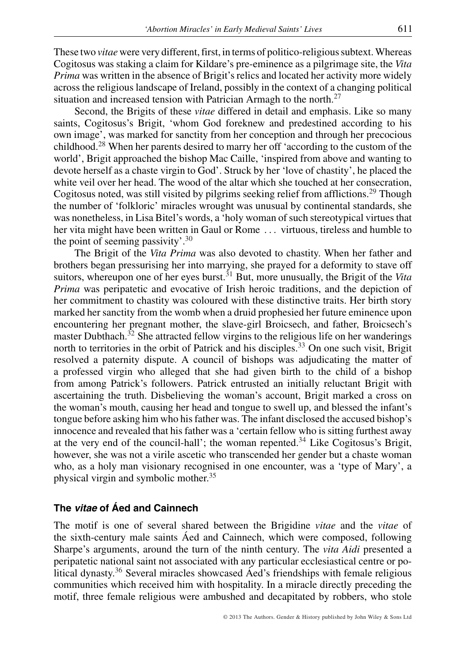These two *vitae* were very different, first, in terms of politico-religious subtext.Whereas Cogitosus was staking a claim for Kildare's pre-eminence as a pilgrimage site, the *Vita Prima* was written in the absence of Brigit's relics and located her activity more widely across the religious landscape of Ireland, possibly in the context of a changing political situation and increased tension with Patrician Armagh to the north.<sup>27</sup>

Second, the Brigits of these *vitae* differed in detail and emphasis. Like so many saints, Cogitosus's Brigit, 'whom God foreknew and predestined according to his own image', was marked for sanctity from her conception and through her precocious childhood.28 When her parents desired to marry her off 'according to the custom of the world', Brigit approached the bishop Mac Caille, 'inspired from above and wanting to devote herself as a chaste virgin to God'. Struck by her 'love of chastity', he placed the white veil over her head. The wood of the altar which she touched at her consecration, Cogitosus noted, was still visited by pilgrims seeking relief from afflictions.<sup>29</sup> Though the number of 'folkloric' miracles wrought was unusual by continental standards, she was nonetheless, in Lisa Bitel's words, a 'holy woman of such stereotypical virtues that her vita might have been written in Gaul or Rome . . . virtuous, tireless and humble to the point of seeming passivity'.  $30$ 

The Brigit of the *Vita Prima* was also devoted to chastity. When her father and brothers began pressurising her into marrying, she prayed for a deformity to stave off suitors, whereupon one of her eyes burst.<sup>31</sup> But, more unusually, the Brigit of the *Vita Prima* was peripatetic and evocative of Irish heroic traditions, and the depiction of her commitment to chastity was coloured with these distinctive traits. Her birth story marked her sanctity from the womb when a druid prophesied her future eminence upon encountering her pregnant mother, the slave-girl Broicsech, and father, Broicsech's master Dubthach.<sup>32</sup> She attracted fellow virgins to the religious life on her wanderings north to territories in the orbit of Patrick and his disciples.<sup>33</sup> On one such visit, Brigit resolved a paternity dispute. A council of bishops was adjudicating the matter of a professed virgin who alleged that she had given birth to the child of a bishop from among Patrick's followers. Patrick entrusted an initially reluctant Brigit with ascertaining the truth. Disbelieving the woman's account, Brigit marked a cross on the woman's mouth, causing her head and tongue to swell up, and blessed the infant's tongue before asking him who his father was. The infant disclosed the accused bishop's innocence and revealed that his father was a 'certain fellow who is sitting furthest away at the very end of the council-hall'; the woman repented. $34$  Like Cogitosus's Brigit, however, she was not a virile ascetic who transcended her gender but a chaste woman who, as a holy man visionary recognised in one encounter, was a 'type of Mary', a physical virgin and symbolic mother.<sup>35</sup>

## **The** *vitae* **of Aed and Cainnech ´**

The motif is one of several shared between the Brigidine *vitae* and the *vitae* of the sixth-century male saints Aed and Cainnech, which were composed, following Sharpe's arguments, around the turn of the ninth century. The *vita Aidi* presented a peripatetic national saint not associated with any particular ecclesiastical centre or political dynasty.<sup>36</sup> Several miracles showcased  $\overrightarrow{A}$ ed's friendships with female religious communities which received him with hospitality. In a miracle directly preceding the motif, three female religious were ambushed and decapitated by robbers, who stole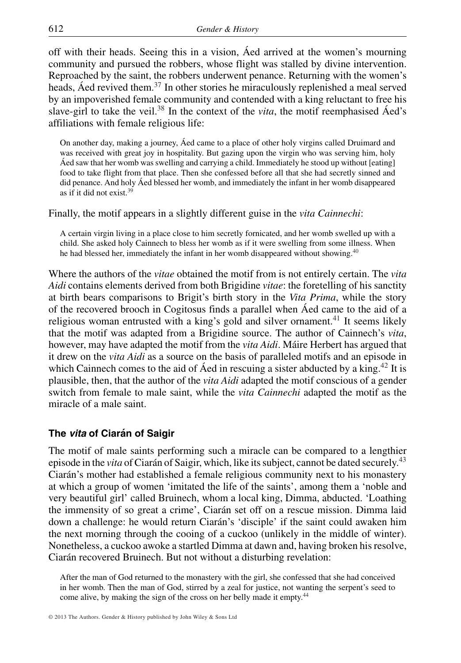off with their heads. Seeing this in a vision, Aed arrived at the women's mourning ´ community and pursued the robbers, whose flight was stalled by divine intervention. Reproached by the saint, the robbers underwent penance. Returning with the women's heads, Áed revived them.<sup>37</sup> In other stories he miraculously replenished a meal served by an impoverished female community and contended with a king reluctant to free his slave-girl to take the veil.<sup>38</sup> In the context of the *vita*, the motif reemphasised  $\tilde{A}$ ed's affiliations with female religious life:

On another day, making a journey, Aed came to a place of other holy virgins called Druimard and ´ was received with great joy in hospitality. But gazing upon the virgin who was serving him, holy Aed saw that her womb was swelling and carrying a child. Immediately he stood up without [eating] ´ food to take flight from that place. Then she confessed before all that she had secretly sinned and did penance. And holy Áed blessed her womb, and immediately the infant in her womb disappeared as if it did not exist.39

Finally, the motif appears in a slightly different guise in the *vita Cainnechi*:

A certain virgin living in a place close to him secretly fornicated, and her womb swelled up with a child. She asked holy Cainnech to bless her womb as if it were swelling from some illness. When he had blessed her, immediately the infant in her womb disappeared without showing.<sup>40</sup>

Where the authors of the *vitae* obtained the motif from is not entirely certain. The *vita Aidi* contains elements derived from both Brigidine *vitae*: the foretelling of his sanctity at birth bears comparisons to Brigit's birth story in the *Vita Prima*, while the story of the recovered brooch in Cogitosus finds a parallel when Aed came to the aid of a ´ religious woman entrusted with a king's gold and silver ornament.<sup>41</sup> It seems likely that the motif was adapted from a Brigidine source. The author of Cainnech's *vita*, however, may have adapted the motif from the *vita Aidi*. Máire Herbert has argued that it drew on the *vita Aidi* as a source on the basis of paralleled motifs and an episode in which Cainnech comes to the aid of  $\text{Aed}$  in rescuing a sister abducted by a king.<sup>42</sup> It is plausible, then, that the author of the *vita Aidi* adapted the motif conscious of a gender switch from female to male saint, while the *vita Cainnechi* adapted the motif as the miracle of a male saint.

## **The** *vita* **of Ciaran of Saigir ´**

The motif of male saints performing such a miracle can be compared to a lengthier episode in the *vita* of Ciarán of Saigir, which, like its subject, cannot be dated securely.<sup>43</sup> Ciarán's mother had established a female religious community next to his monastery at which a group of women 'imitated the life of the saints', among them a 'noble and very beautiful girl' called Bruinech, whom a local king, Dimma, abducted. 'Loathing the immensity of so great a crime', Ciaran set off on a rescue mission. Dimma laid ´ down a challenge: he would return Ciarán's 'disciple' if the saint could awaken him the next morning through the cooing of a cuckoo (unlikely in the middle of winter). Nonetheless, a cuckoo awoke a startled Dimma at dawn and, having broken his resolve, Ciarán recovered Bruinech. But not without a disturbing revelation:

After the man of God returned to the monastery with the girl, she confessed that she had conceived in her womb. Then the man of God, stirred by a zeal for justice, not wanting the serpent's seed to come alive, by making the sign of the cross on her belly made it empty.<sup>44</sup>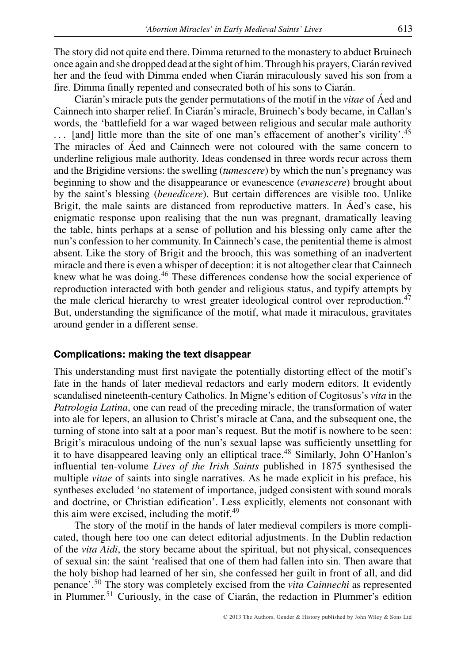The story did not quite end there. Dimma returned to the monastery to abduct Bruinech once again and she dropped dead at the sight of him. Through his prayers, Ciarán revived her and the feud with Dimma ended when Ciarán miraculously saved his son from a fire. Dimma finally repented and consecrated both of his sons to Ciarán.

Ciarán's miracle puts the gender permutations of the motif in the *vitae* of Aed and Cainnech into sharper relief. In Ciaran's miracle, Bruinech's body became, in Callan's ´ words, the 'battlefield for a war waged between religious and secular male authority ... [and] little more than the site of one man's effacement of another's virility'.<sup>45</sup> The miracles of Aed and Cainnech were not coloured with the same concern to underline religious male authority. Ideas condensed in three words recur across them and the Brigidine versions: the swelling (*tumescere*) by which the nun's pregnancy was beginning to show and the disappearance or evanescence (*evanescere*) brought about by the saint's blessing (*benedicere*). But certain differences are visible too. Unlike Brigit, the male saints are distanced from reproductive matters. In Aed's case, his enigmatic response upon realising that the nun was pregnant, dramatically leaving the table, hints perhaps at a sense of pollution and his blessing only came after the nun's confession to her community. In Cainnech's case, the penitential theme is almost absent. Like the story of Brigit and the brooch, this was something of an inadvertent miracle and there is even a whisper of deception: it is not altogether clear that Cainnech knew what he was doing.<sup>46</sup> These differences condense how the social experience of reproduction interacted with both gender and religious status, and typify attempts by the male clerical hierarchy to wrest greater ideological control over reproduction.<sup>47</sup> But, understanding the significance of the motif, what made it miraculous, gravitates around gender in a different sense.

#### **Complications: making the text disappear**

This understanding must first navigate the potentially distorting effect of the motif's fate in the hands of later medieval redactors and early modern editors. It evidently scandalised nineteenth-century Catholics. In Migne's edition of Cogitosus's *vita* in the *Patrologia Latina*, one can read of the preceding miracle, the transformation of water into ale for lepers, an allusion to Christ's miracle at Cana, and the subsequent one, the turning of stone into salt at a poor man's request. But the motif is nowhere to be seen: Brigit's miraculous undoing of the nun's sexual lapse was sufficiently unsettling for it to have disappeared leaving only an elliptical trace.<sup>48</sup> Similarly, John O'Hanlon's influential ten-volume *Lives of the Irish Saints* published in 1875 synthesised the multiple *vitae* of saints into single narratives. As he made explicit in his preface, his syntheses excluded 'no statement of importance, judged consistent with sound morals and doctrine, or Christian edification'. Less explicitly, elements not consonant with this aim were excised, including the motif. $49$ 

The story of the motif in the hands of later medieval compilers is more complicated, though here too one can detect editorial adjustments. In the Dublin redaction of the *vita Aidi*, the story became about the spiritual, but not physical, consequences of sexual sin: the saint 'realised that one of them had fallen into sin. Then aware that the holy bishop had learned of her sin, she confessed her guilt in front of all, and did penance'.<sup>50</sup> The story was completely excised from the *vita Cainnechi* as represented in Plummer.<sup>51</sup> Curiously, in the case of Ciarán, the redaction in Plummer's edition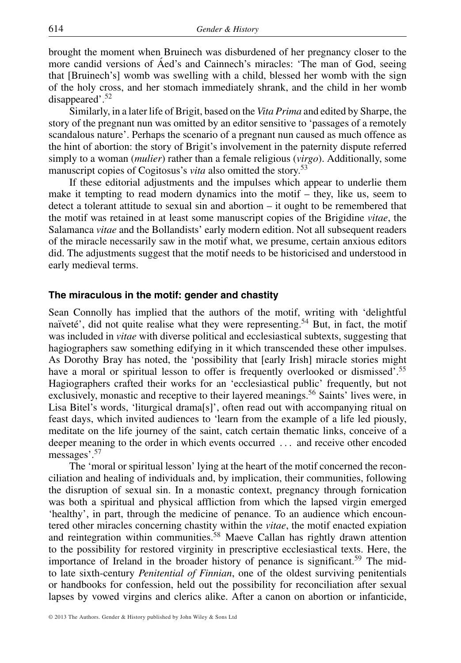brought the moment when Bruinech was disburdened of her pregnancy closer to the more candid versions of Aed's and Cainnech's miracles: 'The man of God, seeing that [Bruinech's] womb was swelling with a child, blessed her womb with the sign of the holy cross, and her stomach immediately shrank, and the child in her womb disappeared'.<sup>52</sup>

Similarly, in a later life of Brigit, based on the *Vita Prima* and edited by Sharpe, the story of the pregnant nun was omitted by an editor sensitive to 'passages of a remotely scandalous nature'. Perhaps the scenario of a pregnant nun caused as much offence as the hint of abortion: the story of Brigit's involvement in the paternity dispute referred simply to a woman (*mulier*) rather than a female religious (*virgo*). Additionally, some manuscript copies of Cogitosus's *vita* also omitted the story.53

If these editorial adjustments and the impulses which appear to underlie them make it tempting to read modern dynamics into the motif – they, like us, seem to detect a tolerant attitude to sexual sin and abortion – it ought to be remembered that the motif was retained in at least some manuscript copies of the Brigidine *vitae*, the Salamanca *vitae* and the Bollandists' early modern edition. Not all subsequent readers of the miracle necessarily saw in the motif what, we presume, certain anxious editors did. The adjustments suggest that the motif needs to be historicised and understood in early medieval terms.

#### **The miraculous in the motif: gender and chastity**

Sean Connolly has implied that the authors of the motif, writing with 'delightful naïveté', did not quite realise what they were representing.<sup>54</sup> But, in fact, the motif was included in *vitae* with diverse political and ecclesiastical subtexts, suggesting that hagiographers saw something edifying in it which transcended these other impulses. As Dorothy Bray has noted, the 'possibility that [early Irish] miracle stories might have a moral or spiritual lesson to offer is frequently overlooked or dismissed'.<sup>55</sup> Hagiographers crafted their works for an 'ecclesiastical public' frequently, but not exclusively, monastic and receptive to their layered meanings.<sup>56</sup> Saints' lives were, in Lisa Bitel's words, 'liturgical drama[s]', often read out with accompanying ritual on feast days, which invited audiences to 'learn from the example of a life led piously, meditate on the life journey of the saint, catch certain thematic links, conceive of a deeper meaning to the order in which events occurred . . . and receive other encoded messages'.<sup>57</sup>

The 'moral or spiritual lesson' lying at the heart of the motif concerned the reconciliation and healing of individuals and, by implication, their communities, following the disruption of sexual sin. In a monastic context, pregnancy through fornication was both a spiritual and physical affliction from which the lapsed virgin emerged 'healthy', in part, through the medicine of penance. To an audience which encountered other miracles concerning chastity within the *vitae*, the motif enacted expiation and reintegration within communities.<sup>58</sup> Maeve Callan has rightly drawn attention to the possibility for restored virginity in prescriptive ecclesiastical texts. Here, the importance of Ireland in the broader history of penance is significant.<sup>59</sup> The midto late sixth-century *Penitential of Finnian*, one of the oldest surviving penitentials or handbooks for confession, held out the possibility for reconciliation after sexual lapses by vowed virgins and clerics alike. After a canon on abortion or infanticide,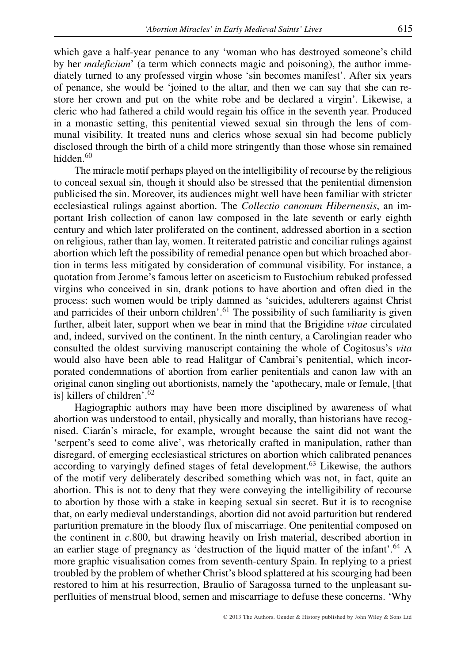which gave a half-year penance to any 'woman who has destroyed someone's child by her *maleficium*' (a term which connects magic and poisoning), the author immediately turned to any professed virgin whose 'sin becomes manifest'. After six years of penance, she would be 'joined to the altar, and then we can say that she can restore her crown and put on the white robe and be declared a virgin'. Likewise, a cleric who had fathered a child would regain his office in the seventh year. Produced in a monastic setting, this penitential viewed sexual sin through the lens of communal visibility. It treated nuns and clerics whose sexual sin had become publicly disclosed through the birth of a child more stringently than those whose sin remained hidden.<sup>60</sup>

The miracle motif perhaps played on the intelligibility of recourse by the religious to conceal sexual sin, though it should also be stressed that the penitential dimension publicised the sin. Moreover, its audiences might well have been familiar with stricter ecclesiastical rulings against abortion. The *Collectio canonum Hibernensis*, an important Irish collection of canon law composed in the late seventh or early eighth century and which later proliferated on the continent, addressed abortion in a section on religious, rather than lay, women. It reiterated patristic and conciliar rulings against abortion which left the possibility of remedial penance open but which broached abortion in terms less mitigated by consideration of communal visibility. For instance, a quotation from Jerome's famous letter on asceticism to Eustochium rebuked professed virgins who conceived in sin, drank potions to have abortion and often died in the process: such women would be triply damned as 'suicides, adulterers against Christ and parricides of their unborn children'.<sup>61</sup> The possibility of such familiarity is given further, albeit later, support when we bear in mind that the Brigidine *vitae* circulated and, indeed, survived on the continent. In the ninth century, a Carolingian reader who consulted the oldest surviving manuscript containing the whole of Cogitosus's *vita* would also have been able to read Halitgar of Cambrai's penitential, which incorporated condemnations of abortion from earlier penitentials and canon law with an original canon singling out abortionists, namely the 'apothecary, male or female, [that is] killers of children'.<sup>62</sup>

Hagiographic authors may have been more disciplined by awareness of what abortion was understood to entail, physically and morally, than historians have recognised. Ciaran's miracle, for example, wrought because the saint did not want the ´ 'serpent's seed to come alive', was rhetorically crafted in manipulation, rather than disregard, of emerging ecclesiastical strictures on abortion which calibrated penances according to varyingly defined stages of fetal development.<sup>63</sup> Likewise, the authors of the motif very deliberately described something which was not, in fact, quite an abortion. This is not to deny that they were conveying the intelligibility of recourse to abortion by those with a stake in keeping sexual sin secret. But it is to recognise that, on early medieval understandings, abortion did not avoid parturition but rendered parturition premature in the bloody flux of miscarriage. One penitential composed on the continent in *c*.800, but drawing heavily on Irish material, described abortion in an earlier stage of pregnancy as 'destruction of the liquid matter of the infant'.<sup>64</sup> A more graphic visualisation comes from seventh-century Spain. In replying to a priest troubled by the problem of whether Christ's blood splattered at his scourging had been restored to him at his resurrection, Braulio of Saragossa turned to the unpleasant superfluities of menstrual blood, semen and miscarriage to defuse these concerns. 'Why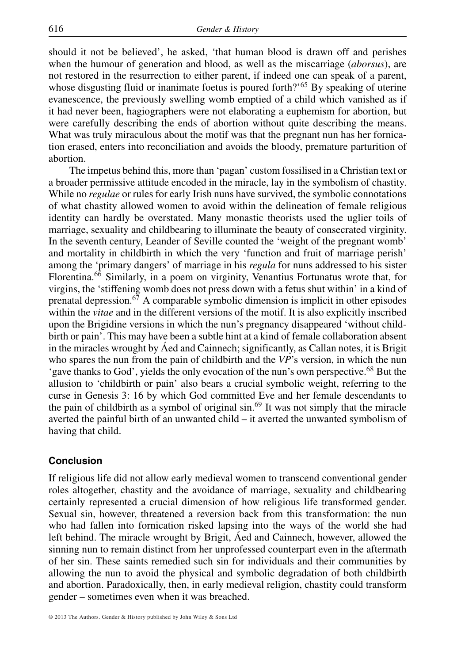should it not be believed', he asked, 'that human blood is drawn off and perishes when the humour of generation and blood, as well as the miscarriage (*aborsus*), are not restored in the resurrection to either parent, if indeed one can speak of a parent, whose disgusting fluid or inanimate foetus is poured forth?<sup>'65</sup> By speaking of uterine evanescence, the previously swelling womb emptied of a child which vanished as if it had never been, hagiographers were not elaborating a euphemism for abortion, but were carefully describing the ends of abortion without quite describing the means. What was truly miraculous about the motif was that the pregnant nun has her fornication erased, enters into reconciliation and avoids the bloody, premature parturition of abortion.

The impetus behind this, more than 'pagan' custom fossilised in a Christian text or a broader permissive attitude encoded in the miracle, lay in the symbolism of chastity. While no *regulae* or rules for early Irish nuns have survived, the symbolic connotations of what chastity allowed women to avoid within the delineation of female religious identity can hardly be overstated. Many monastic theorists used the uglier toils of marriage, sexuality and childbearing to illuminate the beauty of consecrated virginity. In the seventh century, Leander of Seville counted the 'weight of the pregnant womb' and mortality in childbirth in which the very 'function and fruit of marriage perish' among the 'primary dangers' of marriage in his *regula* for nuns addressed to his sister Florentina.<sup>66</sup> Similarly, in a poem on virginity, Venantius Fortunatus wrote that, for virgins, the 'stiffening womb does not press down with a fetus shut within' in a kind of prenatal depression.<sup>67</sup> A comparable symbolic dimension is implicit in other episodes within the *vitae* and in the different versions of the motif. It is also explicitly inscribed upon the Brigidine versions in which the nun's pregnancy disappeared 'without childbirth or pain'. This may have been a subtle hint at a kind of female collaboration absent in the miracles wrought by Aed and Cainnech; significantly, as Callan notes, it is Brigit who spares the nun from the pain of childbirth and the *VP*'s version, in which the nun 'gave thanks to God', yields the only evocation of the nun's own perspective.<sup>68</sup> But the allusion to 'childbirth or pain' also bears a crucial symbolic weight, referring to the curse in Genesis 3: 16 by which God committed Eve and her female descendants to the pain of childbirth as a symbol of original  $\sin^{69}$  It was not simply that the miracle averted the painful birth of an unwanted child – it averted the unwanted symbolism of having that child.

## **Conclusion**

If religious life did not allow early medieval women to transcend conventional gender roles altogether, chastity and the avoidance of marriage, sexuality and childbearing certainly represented a crucial dimension of how religious life transformed gender. Sexual sin, however, threatened a reversion back from this transformation: the nun who had fallen into fornication risked lapsing into the ways of the world she had left behind. The miracle wrought by Brigit, Aed and Cainnech, however, allowed the sinning nun to remain distinct from her unprofessed counterpart even in the aftermath of her sin. These saints remedied such sin for individuals and their communities by allowing the nun to avoid the physical and symbolic degradation of both childbirth and abortion. Paradoxically, then, in early medieval religion, chastity could transform gender – sometimes even when it was breached.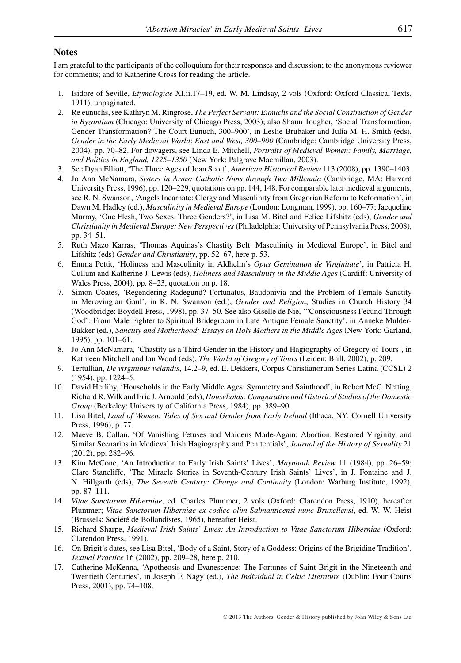#### **Notes**

I am grateful to the participants of the colloquium for their responses and discussion; to the anonymous reviewer for comments; and to Katherine Cross for reading the article.

- 1. Isidore of Seville, *Etymologiae* XI.ii.17–19, ed. W. M. Lindsay, 2 vols (Oxford: Oxford Classical Texts, 1911), unpaginated.
- 2. Re eunuchs, see Kathryn M. Ringrose, *The Perfect Servant: Eunuchs and the Social Construction of Gender in Byzantium* (Chicago: University of Chicago Press, 2003); also Shaun Tougher, 'Social Transformation, Gender Transformation? The Court Eunuch, 300–900', in Leslie Brubaker and Julia M. H. Smith (eds), *Gender in the Early Medieval World*: *East and West, 300–900* (Cambridge: Cambridge University Press, 2004), pp. 70–82. For dowagers, see Linda E. Mitchell, *Portraits of Medieval Women: Family, Marriage, and Politics in England, 1225–1350* (New York: Palgrave Macmillan, 2003).
- 3. See Dyan Elliott, 'The Three Ages of Joan Scott', *American Historical Review* 113 (2008), pp. 1390–1403.
- 4. Jo Ann McNamara, *Sisters in Arms: Catholic Nuns through Two Millennia* (Cambridge, MA: Harvard University Press, 1996), pp. 120–229, quotations on pp. 144, 148. For comparable later medieval arguments, see R. N. Swanson, 'Angels Incarnate: Clergy and Masculinity from Gregorian Reform to Reformation', in Dawn M. Hadley (ed.), *Masculinity in Medieval Europe* (London: Longman, 1999), pp. 160–77; Jacqueline Murray, 'One Flesh, Two Sexes, Three Genders?', in Lisa M. Bitel and Felice Lifshitz (eds), *Gender and Christianity in Medieval Europe: New Perspectives* (Philadelphia: University of Pennsylvania Press, 2008), pp. 34–51.
- 5. Ruth Mazo Karras, 'Thomas Aquinas's Chastity Belt: Masculinity in Medieval Europe', in Bitel and Lifshitz (eds) *Gender and Christianity*, pp. 52–67, here p. 53.
- 6. Emma Pettit, 'Holiness and Masculinity in Aldhelm's *Opus Geminatum de Virginitate*', in Patricia H. Cullum and Katherine J. Lewis (eds), *Holiness and Masculinity in the Middle Ages* (Cardiff: University of Wales Press, 2004), pp. 8–23, quotation on p. 18.
- 7. Simon Coates, 'Regendering Radegund? Fortunatus, Baudonivia and the Problem of Female Sanctity in Merovingian Gaul', in R. N. Swanson (ed.), *Gender and Religion*, Studies in Church History 34 (Woodbridge: Boydell Press, 1998), pp. 37–50. See also Giselle de Nie, '"Consciousness Fecund Through God": From Male Fighter to Spiritual Bridegroom in Late Antique Female Sanctity', in Anneke Mulder-Bakker (ed.), *Sanctity and Motherhood: Essays on Holy Mothers in the Middle Ages* (New York: Garland, 1995), pp. 101–61.
- 8. Jo Ann McNamara, 'Chastity as a Third Gender in the History and Hagiography of Gregory of Tours', in Kathleen Mitchell and Ian Wood (eds), *The World of Gregory of Tours* (Leiden: Brill, 2002), p. 209.
- 9. Tertullian, *De virginibus velandis*, 14.2–9, ed. E. Dekkers, Corpus Christianorum Series Latina (CCSL) 2 (1954), pp. 1224–5.
- 10. David Herlihy, 'Households in the Early Middle Ages: Symmetry and Sainthood', in Robert McC. Netting, Richard R. Wilk and Eric J. Arnould (eds), *Households: Comparative and Historical Studies of the Domestic Group* (Berkeley: University of California Press, 1984), pp. 389–90.
- 11. Lisa Bitel, *Land of Women: Tales of Sex and Gender from Early Ireland* (Ithaca, NY: Cornell University Press, 1996), p. 77.
- 12. Maeve B. Callan, 'Of Vanishing Fetuses and Maidens Made-Again: Abortion, Restored Virginity, and Similar Scenarios in Medieval Irish Hagiography and Penitentials', *Journal of the History of Sexuality* 21 (2012), pp. 282–96.
- 13. Kim McCone, 'An Introduction to Early Irish Saints' Lives', *Maynooth Review* 11 (1984), pp. 26–59; Clare Stancliffe, 'The Miracle Stories in Seventh-Century Irish Saints' Lives', in J. Fontaine and J. N. Hillgarth (eds), *The Seventh Century: Change and Continuity* (London: Warburg Institute, 1992), pp. 87–111.
- 14. *Vitae Sanctorum Hiberniae*, ed. Charles Plummer, 2 vols (Oxford: Clarendon Press, 1910), hereafter Plummer; *Vitae Sanctorum Hiberniae ex codice olim Salmanticensi nunc Bruxellensi*, ed. W. W. Heist (Brussels: Société de Bollandistes, 1965), hereafter Heist.
- 15. Richard Sharpe, *Medieval Irish Saints' Lives: An Introduction to Vitae Sanctorum Hiberniae* (Oxford: Clarendon Press, 1991).
- 16. On Brigit's dates, see Lisa Bitel, 'Body of a Saint, Story of a Goddess: Origins of the Brigidine Tradition', *Textual Practice* 16 (2002), pp. 209–28, here p. 210.
- 17. Catherine McKenna, 'Apotheosis and Evanescence: The Fortunes of Saint Brigit in the Nineteenth and Twentieth Centuries', in Joseph F. Nagy (ed.), *The Individual in Celtic Literature* (Dublin: Four Courts Press, 2001), pp. 74–108.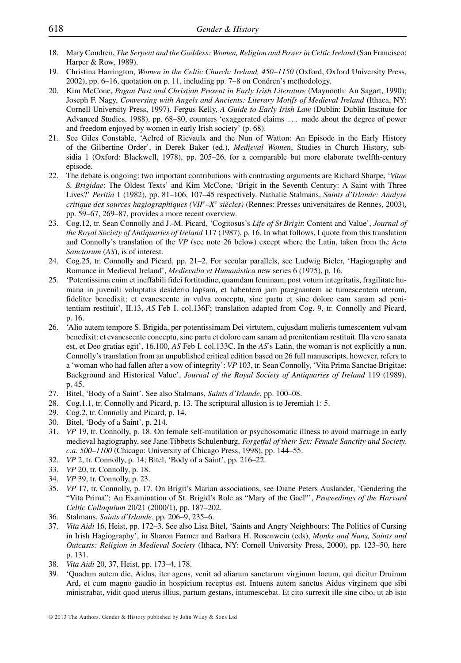- 18. Mary Condren, *The Serpent and the Goddess: Women, Religion and Power in Celtic Ireland* (San Francisco: Harper & Row, 1989).
- 19. Christina Harrington, *Women in the Celtic Church: Ireland, 450–1150* (Oxford, Oxford University Press, 2002), pp. 6–16, quotation on p. 11, including pp. 7–8 on Condren's methodology.
- 20. Kim McCone, *Pagan Past and Christian Present in Early Irish Literature* (Maynooth: An Sagart, 1990); Joseph F. Nagy, *Conversing with Angels and Ancients: Literary Motifs of Medieval Ireland* (Ithaca, NY: Cornell University Press, 1997). Fergus Kelly, *A Guide to Early Irish Law* (Dublin: Dublin Institute for Advanced Studies, 1988), pp. 68–80, counters 'exaggerated claims . . . made about the degree of power and freedom enjoyed by women in early Irish society' (p. 68).
- 21. See Giles Constable, 'Aelred of Rievaulx and the Nun of Watton: An Episode in the Early History of the Gilbertine Order', in Derek Baker (ed.), *Medieval Women*, Studies in Church History, subsidia 1 (Oxford: Blackwell, 1978), pp. 205–26, for a comparable but more elaborate twelfth-century episode.
- 22. The debate is ongoing: two important contributions with contrasting arguments are Richard Sharpe, '*Vitae S. Brigidae*: The Oldest Texts' and Kim McCone, 'Brigit in the Seventh Century: A Saint with Three Lives?' *Peritia* 1 (1982), pp. 81–106, 107–45 respectively. Nathalie Stalmans, *Saints d'Irlande: Analyse critique des sources hagiographiques (VIIe–Xe siecles) `* (Rennes: Presses universitaires de Rennes, 2003), pp. 59–67, 269–87, provides a more recent overview.
- 23. Cog.12, tr. Sean Connolly and J.-M. Picard, 'Cogitosus's *Life of St Brigit*: Content and Value', *Journal of the Royal Society of Antiquaries of Ireland* 117 (1987), p. 16. In what follows, I quote from this translation and Connolly's translation of the *VP* (see note 26 below) except where the Latin, taken from the *Acta Sanctorum* (*AS*), is of interest.
- 24. Cog.25, tr. Connolly and Picard, pp. 21–2. For secular parallels, see Ludwig Bieler, 'Hagiography and Romance in Medieval Ireland', *Medievalia et Humanistica* new series 6 (1975), p. 16.
- 25. 'Potentissima enim et ineffabili fidei fortitudine, quamdam feminam, post votum integritatis, fragilitate humana in juvenili voluptatis desiderio lapsam, et habentem jam praegnantem ac tumescentem uterum, fideliter benedixit: et evanescente in vulva conceptu, sine partu et sine dolore eam sanam ad penitentiam restituit', II.13, *AS* Feb I. col.136F; translation adapted from Cog. 9, tr. Connolly and Picard, p. 16.
- 26. 'Alio autem tempore S. Brigida, per potentissimam Dei virtutem, cujusdam mulieris tumescentem vulvam benedixit: et evanescente conceptu, sine partu et dolore eam sanam ad pœnitentiam restituit. Illa vero sanata est, et Deo gratias egit', 16.100, *AS* Feb I. col.133C. In the *AS*'s Latin, the woman is not explicitly a nun. Connolly's translation from an unpublished critical edition based on 26 full manuscripts, however, refers to a 'woman who had fallen after a vow of integrity': *VP* 103, tr. Sean Connolly, 'Vita Prima Sanctae Brigitae: Background and Historical Value', *Journal of the Royal Society of Antiquaries of Ireland* 119 (1989), p. 45.
- 27. Bitel, 'Body of a Saint'. See also Stalmans, *Saints d'Irlande*, pp. 100–08.
- 28. Cog.1.1, tr. Connolly and Picard, p. 13. The scriptural allusion is to Jeremiah 1: 5.
- 29. Cog.2, tr. Connolly and Picard, p. 14.
- 30. Bitel, 'Body of a Saint', p. 214.
- 31. *VP* 19, tr. Connolly, p. 18. On female self-mutilation or psychosomatic illness to avoid marriage in early medieval hagiography, see Jane Tibbetts Schulenburg, *Forgetful of their Sex: Female Sanctity and Society, c.a. 500–1100* (Chicago: University of Chicago Press, 1998), pp. 144–55.
- 32. *VP* 2, tr. Connolly, p. 14; Bitel, 'Body of a Saint', pp. 216–22.
- 33. *VP* 20, tr. Connolly, p. 18.
- 34. *VP* 39, tr. Connolly, p. 23.
- 35. *VP* 17, tr. Connolly, p. 17. On Brigit's Marian associations, see Diane Peters Auslander, 'Gendering the "Vita Prima": An Examination of St. Brigid's Role as "Mary of the Gael"', *Proceedings of the Harvard Celtic Colloquium* 20/21 (2000/1), pp. 187–202.
- 36. Stalmans, *Saints d'Irlande*, pp. 206–9, 235–6.
- 37. *Vita Aidi* 16, Heist, pp. 172–3. See also Lisa Bitel, 'Saints and Angry Neighbours: The Politics of Cursing in Irish Hagiography', in Sharon Farmer and Barbara H. Rosenwein (eds), *Monks and Nuns, Saints and Outcasts: Religion in Medieval Society* (Ithaca, NY: Cornell University Press, 2000), pp. 123–50, here p. 131.
- 38. *Vita Aidi* 20, 37, Heist, pp. 173–4, 178.
- 39. 'Quadam autem die, Aidus, iter agens, venit ad aliarum sanctarum virginum locum, qui dicitur Druimm Ard, et cum magno gaudio in hospicium receptus est. Intuens autem sanctus Aidus virginem que sibi ministrabat, vidit quod uterus illius, partum gestans, intumescebat. Et cito surrexit ille sine cibo, ut ab isto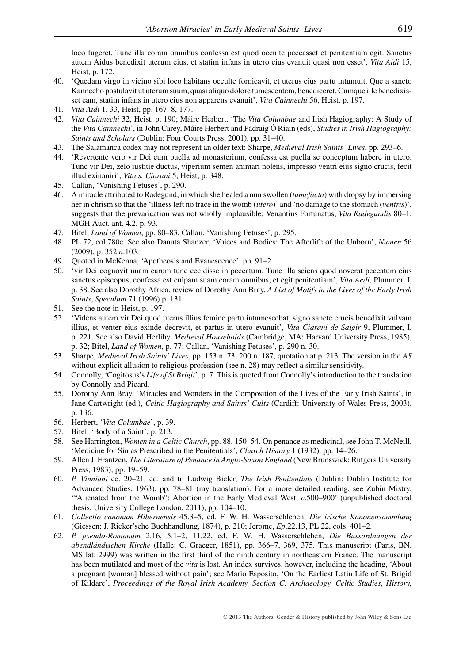loco fugeret. Tunc illa coram omnibus confessa est quod occulte peccasset et penitentiam egit. Sanctus autem Aidus benedixit uterum eius, et statim infans in utero eius evanuit quasi non esset', *Vita Aidi* 15, Heist, p. 172.

- 40. 'Quedam virgo in vicino sibi loco habitans occulte fornicavit, et uterus eius partu intumuit. Que a sancto Kannecho postulavit ut uterum suum, quasi aliquo dolore tumescentem, benediceret. Cumque ille benedixisset eam, statim infans in utero eius non apparens evanuit', *Vita Cainnechi* 56, Heist, p. 197.
- 41. *Vita Aidi* 1, 33, Heist, pp. 167–8, 177.
- 42. *Vita Cainnechi* 32, Heist, p. 190; Máire Herbert, 'The Vita Columbae and Irish Hagiography: A Study of the *Vita Cainnechi*', in John Carey, Máire Herbert and Pádraig Ó Riain (eds), Studies in Irish Hagiography: *Saints and Scholars* (Dublin: Four Courts Press, 2001), pp. 31–40.
- 43. The Salamanca codex may not represent an older text: Sharpe, *Medieval Irish Saints' Lives*, pp. 293–6.
- 44. 'Revertente vero vir Dei cum puella ad monasterium, confessa est puella se conceptum habere in utero. Tunc vir Dei, zelo iustitie ductus, viperium semen animari nolens, impresso ventri eius signo crucis, fecit illud exinaniri', *Vita s. Ciarani* 5, Heist, p. 348.
- 45. Callan, 'Vanishing Fetuses', p. 290.
- 46. A miracle attributed to Radegund, in which she healed a nun swollen (*tumefacta*) with dropsy by immersing her in chrism so that the 'illness left no trace in the womb (*utero*)' and 'no damage to the stomach (*ventris*)', suggests that the prevarication was not wholly implausible: Venantius Fortunatus, *Vita Radegundis* 80–1, MGH Auct. ant. 4.2, p. 93.
- 47. Bitel, *Land of Women*, pp. 80–83, Callan, 'Vanishing Fetuses', p. 295.
- 48. PL 72, col.780c. See also Danuta Shanzer, 'Voices and Bodies: The Afterlife of the Unborn', *Numen* 56 (2009), p. 352 *n*.103.
- 49. Quoted in McKenna, 'Apotheosis and Evanescence', pp. 91–2.
- 50. 'vir Dei cognovit unam earum tunc cecidisse in peccatum. Tunc illa sciens quod noverat peccatum eius sanctus episcopus, confessa est culpam suam coram omnibus, et egit penitentiam', *Vita Aedi*, Plummer, I, p. 38. See also Dorothy Africa, review of Dorothy Ann Bray, *A List of Motifs in the Lives of the Early Irish Saints*, *Speculum* 71 (1996) p. 131.
- 51. See the note in Heist, p. 197.
- 52. 'Videns autem vir Dei quod uterus illius femine partu intumescebat, signo sancte crucis benedixit vulvam illius, et venter eius exinde decrevit, et partus in utero evanuit', *Vita Ciarani de Saigir* 9, Plummer, I, p. 221. See also David Herlihy, *Medieval Households* (Cambridge, MA: Harvard University Press, 1985), p. 32; Bitel, *Land of Women*, p. 77; Callan, 'Vanishing Fetuses', p. 290 n. 30.
- 53. Sharpe, *Medieval Irish Saints' Lives*, pp. 153 n. 73, 200 n. 187, quotation at p. 213. The version in the *AS* without explicit allusion to religious profession (see n. 28) may reflect a similar sensitivity.
- 54. Connolly, 'Cogitosus's *Life of St Brigit*', p. 7. This is quoted from Connolly's introduction to the translation by Connolly and Picard.
- 55. Dorothy Ann Bray, 'Miracles and Wonders in the Composition of the Lives of the Early Irish Saints', in Jane Cartwright (ed.), *Celtic Hagiography and Saints' Cults* (Cardiff: University of Wales Press, 2003), p. 136.
- 56. Herbert, '*Vita Columbae*', p. 39.
- 57. Bitel, 'Body of a Saint', p. 213.
- 58. See Harrington, *Women in a Celtic Church*, pp. 88, 150–54. On penance as medicinal, see John T. McNeill, 'Medicine for Sin as Prescribed in the Penitentials', *Church History* 1 (1932), pp. 14–26.
- 59. Allen J. Frantzen, *The Literature of Penance in Anglo-Saxon England* (New Brunswick: Rutgers University Press, 1983), pp. 19–59.
- 60. *P. Vinniani* cc. 20–21, ed. and tr. Ludwig Bieler, *The Irish Penitentials* (Dublin: Dublin Institute for Advanced Studies, 1963), pp. 78–81 (my translation). For a more detailed reading, see Zubin Mistry, '"Alienated from the Womb": Abortion in the Early Medieval West, *c*.500–900' (unpublished doctoral thesis, University College London, 2011), pp. 104–10.
- 61. *Collectio canonum Hibernensis* 45.3–5, ed. F. W. H. Wasserschleben, *Die irische Kanonensammlung* (Giessen: J. Ricker'sche Buchhandlung, 1874), p. 210; Jerome, *Ep*.22.13, PL 22, cols. 401–2.
- 62. *P. pseudo-Romanum* 2.16, 5.1–2, 11.22, ed. F. W. H. Wasserschleben, *Die Bussordnungen der abendländischen Kirche* (Halle: C. Graeger, 1851), pp. 366–7, 369, 375. This manuscript (Paris, BN, MS lat. 2999) was written in the first third of the ninth century in northeastern France. The manuscript has been mutilated and most of the *vita* is lost. An index survives, however, including the heading, 'About a pregnant [woman] blessed without pain'; see Mario Esposito, 'On the Earliest Latin Life of St. Brigid of Kildare', *Proceedings of the Royal Irish Academy. Section C: Archaeology, Celtic Studies, History,*